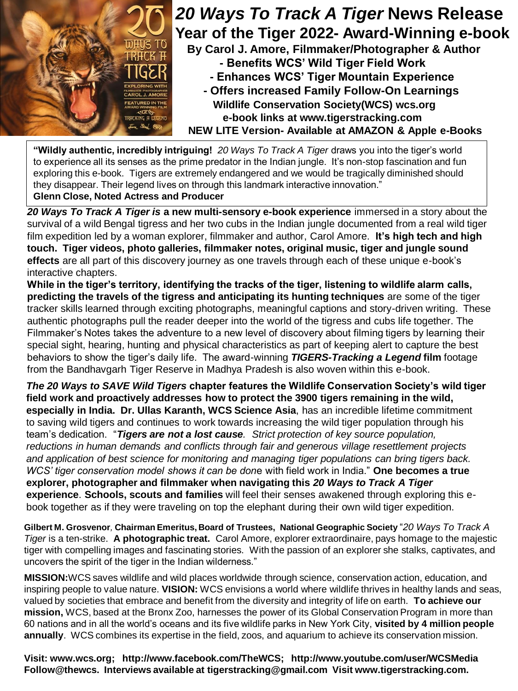

## *20 Ways To Track A Tiger* **News Release Year of the Tiger 2022- Award-Winning e-book**

**By Carol J. Amore, Filmmaker/Photographer & Author - Benefits WCS' Wild Tiger Field Work - Enhances WCS' Tiger Mountain Experience**

**- Offers increased Family Follow-On Learnings Wildlife Conservation Society(WCS) wcs.org e-book links at www.tigerstracking.com NEW LITE Version- Available at AMAZON & Apple e-Books**

**"Wildly authentic, incredibly intriguing!** *20 Ways To Track A Tiger* draws you into the tiger's world to experience all its senses as the prime predator in the Indian jungle. It's non-stop fascination and fun exploring this e-book. Tigers are extremely endangered and we would be tragically diminished should they disappear. Their legend lives on through this landmark interactive innovation." **Glenn Close, Noted Actress and Producer**

*20 Ways To Track A Tiger is* **a new multi-sensory e-book experience** immersed in a story about the survival of a wild Bengal tigress and her two cubs in the Indian jungle documented from a real wild tiger film expedition led by a woman explorer, filmmaker and author, Carol Amore. **It's high tech and high touch. Tiger videos, photo galleries, filmmaker notes, original music, tiger and jungle sound effects** are all part of this discovery journey as one travels through each of these unique e-book's interactive chapters.

**While in the tiger's territory, identifying the tracks of the tiger, listening to wildlife alarm calls, predicting the travels of the tigress and anticipating its hunting techniques** are some of the tiger tracker skills learned through exciting photographs, meaningful captions and story-driven writing. These authentic photographs pull the reader deeper into the world of the tigress and cubs life together. The Filmmaker's Notes takes the adventure to a new level of discovery about filming tigers by learning their special sight, hearing, hunting and physical characteristics as part of keeping alert to capture the best behaviors to show the tiger's daily life. The award-winning *TIGERS-Tracking a Legend* **film** footage from the Bandhavgarh Tiger Reserve in Madhya Pradesh is also woven within this e-book.

*The 20 Ways to SAVE Wild Tigers* **chapter features the Wildlife Conservation Society's wild tiger field work and proactively addresses how to protect the 3900 tigers remaining in the wild, especially in India. Dr. Ullas Karanth, WCS Science Asia**, has an incredible lifetime commitment to saving wild tigers and continues to work towards increasing the wild tiger population through his team's dedication. "*Tigers are not a lost cause. Strict protection of key source population, reductions in human demands and conflicts through fair and generous village resettlement projects and application of best science for monitoring and managing tiger populations can bring tigers back. WCS' tiger conservation model shows it can be don*e with field work in India." **One becomes a true explorer, photographer and filmmaker when navigating this** *20 Ways to Track A Tiger* **experience**. **Schools, scouts and families** will feel their senses awakened through exploring this ebook together as if they were traveling on top the elephant during their own wild tiger expedition.

**Gilbert M. Grosvenor***,* **Chairman Emeritus, Board of Trustees, National Geographic Society** "*20 Ways To Track A Tiger* is a ten-strike. **A photographic treat.** Carol Amore, explorer extraordinaire, pays homage to the majestic tiger with compelling images and fascinating stories. With the passion of an explorer she stalks, captivates, and uncovers the spirit of the tiger in the Indian wilderness."

**MISSION:**WCS saves wildlife and wild places worldwide through science, conservation action, education, and inspiring people to value nature. **VISION:** WCS envisions a world where wildlife thrives in healthy lands and seas, valued by societies that embrace and benefit from the diversity and integrity of life on earth. **To achieve our mission,** WCS, based at the Bronx Zoo, harnesses the power of its Global Conservation Program in more than 60 nations and in all the world's oceans and its five wildlife parks in New York City, **visited by 4 million people annually**. WCS combines its expertise in the field, zoos, and aquarium to achieve its conservation mission.

**Visit: www.wcs.org; http://www.facebook.com/TheWCS; http://www.youtube.com/user/WCSMedia Follow@thewcs. Interviews available at tigerstracking@gmail.com Visit www.tigerstracking.com.**